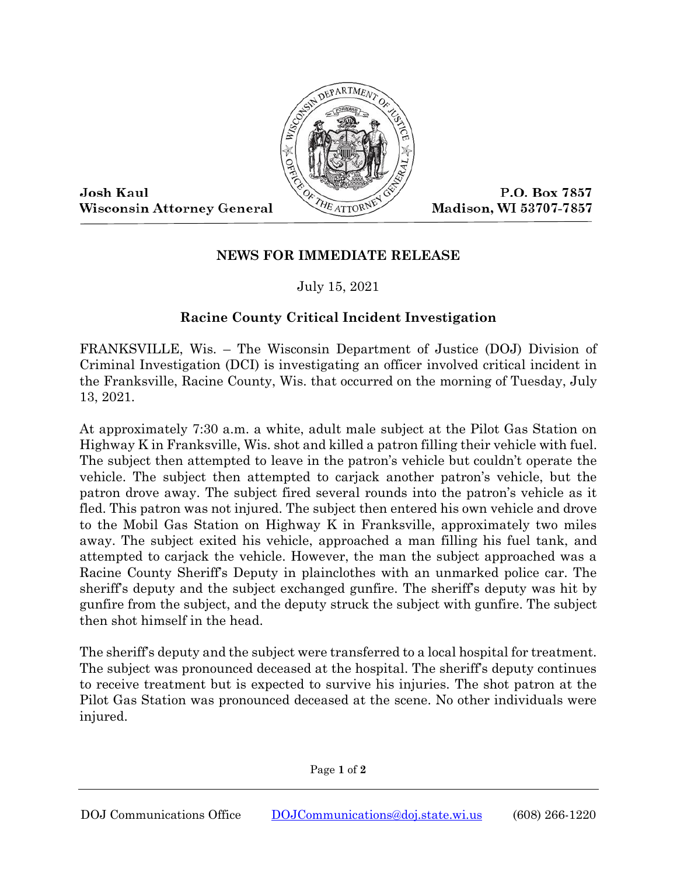

Josh Kaul **Wisconsin Attorney General** 

P.O. Box 7857 Madison, WI 53707-7857

## **NEWS FOR IMMEDIATE RELEASE**

July 15, 2021

## **Racine County Critical Incident Investigation**

FRANKSVILLE, Wis. – The Wisconsin Department of Justice (DOJ) Division of Criminal Investigation (DCI) is investigating an officer involved critical incident in the Franksville, Racine County, Wis. that occurred on the morning of Tuesday, July 13, 2021.

At approximately 7:30 a.m. a white, adult male subject at the Pilot Gas Station on Highway K in Franksville, Wis. shot and killed a patron filling their vehicle with fuel. The subject then attempted to leave in the patron's vehicle but couldn't operate the vehicle. The subject then attempted to carjack another patron's vehicle, but the patron drove away. The subject fired several rounds into the patron's vehicle as it fled. This patron was not injured. The subject then entered his own vehicle and drove to the Mobil Gas Station on Highway K in Franksville, approximately two miles away. The subject exited his vehicle, approached a man filling his fuel tank, and attempted to carjack the vehicle. However, the man the subject approached was a Racine County Sheriff's Deputy in plainclothes with an unmarked police car. The sheriff's deputy and the subject exchanged gunfire. The sheriff's deputy was hit by gunfire from the subject, and the deputy struck the subject with gunfire. The subject then shot himself in the head.

The sheriff's deputy and the subject were transferred to a local hospital for treatment. The subject was pronounced deceased at the hospital. The sheriff's deputy continues to receive treatment but is expected to survive his injuries. The shot patron at the Pilot Gas Station was pronounced deceased at the scene. No other individuals were injured.